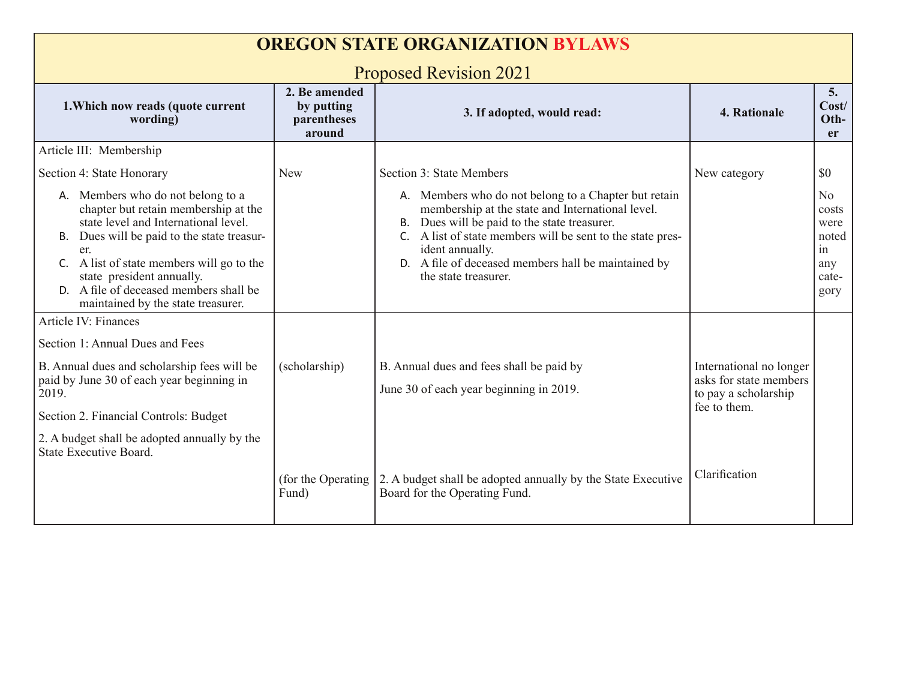| <b>OREGON STATE ORGANIZATION BYLAWS</b>                                                                                                                                                                                                                                                                                                                                                  |                                                      |                                                                                                                                                                                                                                                                                                                                                      |                                                                                                            |                                                                         |
|------------------------------------------------------------------------------------------------------------------------------------------------------------------------------------------------------------------------------------------------------------------------------------------------------------------------------------------------------------------------------------------|------------------------------------------------------|------------------------------------------------------------------------------------------------------------------------------------------------------------------------------------------------------------------------------------------------------------------------------------------------------------------------------------------------------|------------------------------------------------------------------------------------------------------------|-------------------------------------------------------------------------|
| 1. Which now reads (quote current<br>wording)                                                                                                                                                                                                                                                                                                                                            | 2. Be amended<br>by putting<br>parentheses<br>around | <b>Proposed Revision 2021</b><br>3. If adopted, would read:                                                                                                                                                                                                                                                                                          | 4. Rationale                                                                                               | 5.<br>Cost/<br>Oth-<br><b>er</b>                                        |
| Article III: Membership<br>Section 4: State Honorary<br>A. Members who do not belong to a<br>chapter but retain membership at the<br>state level and International level.<br>B. Dues will be paid to the state treasur-<br>er.<br>C. A list of state members will go to the<br>state president annually.<br>D. A file of deceased members shall be<br>maintained by the state treasurer. | <b>New</b>                                           | Section 3: State Members<br>A. Members who do not belong to a Chapter but retain<br>membership at the state and International level.<br>B. Dues will be paid to the state treasurer.<br>C. A list of state members will be sent to the state pres-<br>ident annually.<br>D. A file of deceased members hall be maintained by<br>the state treasurer. | New category                                                                                               | \$0<br>$\rm No$<br>costs<br>were<br>noted<br>1n<br>any<br>cate-<br>gory |
| Article IV: Finances<br>Section 1: Annual Dues and Fees<br>B. Annual dues and scholarship fees will be<br>paid by June 30 of each year beginning in<br>2019.<br>Section 2. Financial Controls: Budget<br>2. A budget shall be adopted annually by the<br>State Executive Board.                                                                                                          | (scholarship)                                        | B. Annual dues and fees shall be paid by<br>June 30 of each year beginning in 2019.                                                                                                                                                                                                                                                                  | International no longer<br>asks for state members<br>to pay a scholarship<br>fee to them.<br>Clarification |                                                                         |
|                                                                                                                                                                                                                                                                                                                                                                                          | (for the Operating)<br>Fund)                         | 2. A budget shall be adopted annually by the State Executive<br>Board for the Operating Fund.                                                                                                                                                                                                                                                        |                                                                                                            |                                                                         |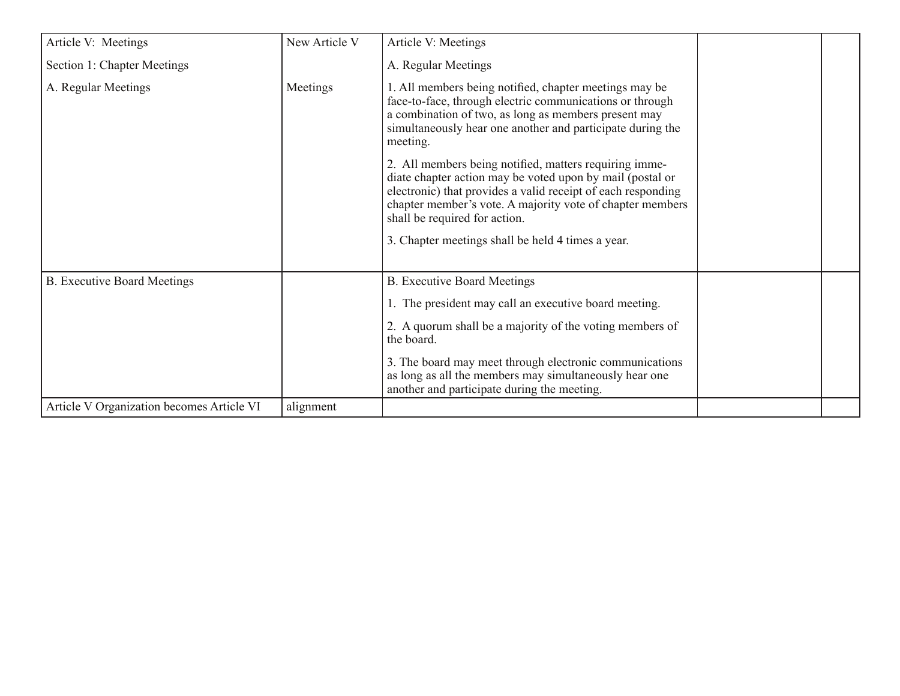| Article V: Meetings                       | New Article V | Article V: Meetings                                                                                                                                                                                                                                                                                                                    |  |
|-------------------------------------------|---------------|----------------------------------------------------------------------------------------------------------------------------------------------------------------------------------------------------------------------------------------------------------------------------------------------------------------------------------------|--|
| Section 1: Chapter Meetings               |               | A. Regular Meetings                                                                                                                                                                                                                                                                                                                    |  |
| A. Regular Meetings                       | Meetings      | 1. All members being notified, chapter meetings may be<br>face-to-face, through electric communications or through<br>a combination of two, as long as members present may<br>simultaneously hear one another and participate during the<br>meeting.                                                                                   |  |
|                                           |               | 2. All members being notified, matters requiring imme-<br>diate chapter action may be voted upon by mail (postal or<br>electronic) that provides a valid receipt of each responding<br>chapter member's vote. A majority vote of chapter members<br>shall be required for action.<br>3. Chapter meetings shall be held 4 times a year. |  |
| <b>B.</b> Executive Board Meetings        |               | <b>B.</b> Executive Board Meetings                                                                                                                                                                                                                                                                                                     |  |
|                                           |               | 1. The president may call an executive board meeting.                                                                                                                                                                                                                                                                                  |  |
|                                           |               | 2. A quorum shall be a majority of the voting members of<br>the board.                                                                                                                                                                                                                                                                 |  |
|                                           |               | 3. The board may meet through electronic communications<br>as long as all the members may simultaneously hear one<br>another and participate during the meeting.                                                                                                                                                                       |  |
| Article V Organization becomes Article VI | alignment     |                                                                                                                                                                                                                                                                                                                                        |  |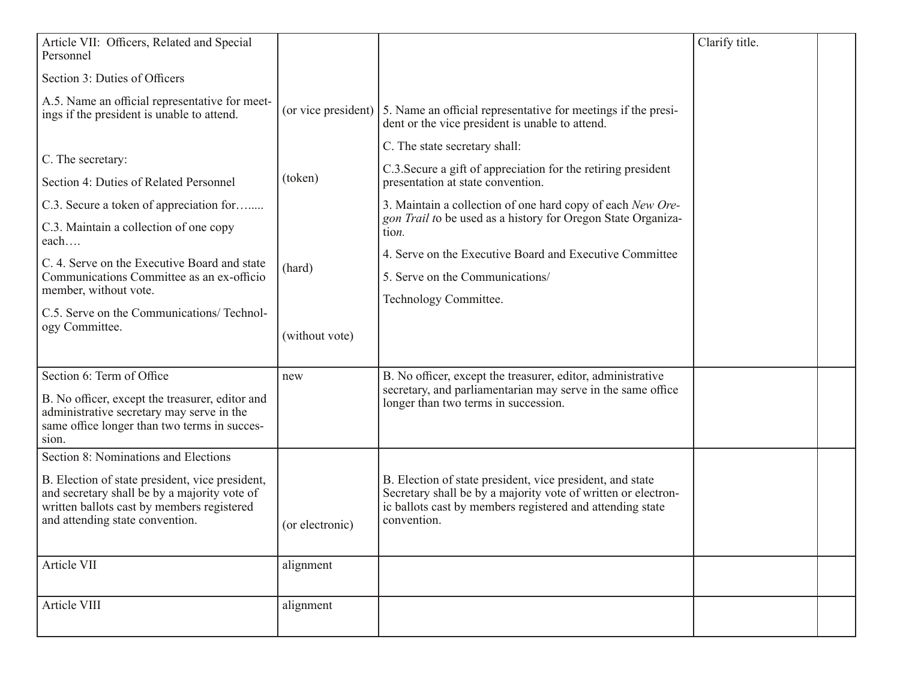| Article VII: Officers, Related and Special<br>Personnel                                      |                     |                                                                                                                            | Clarify title. |  |
|----------------------------------------------------------------------------------------------|---------------------|----------------------------------------------------------------------------------------------------------------------------|----------------|--|
| Section 3: Duties of Officers                                                                |                     |                                                                                                                            |                |  |
| A.5. Name an official representative for meet-<br>ings if the president is unable to attend. | (or vice president) | 5. Name an official representative for meetings if the presi-<br>dent or the vice president is unable to attend.           |                |  |
|                                                                                              |                     | C. The state secretary shall:                                                                                              |                |  |
| C. The secretary:                                                                            | (token)             | C.3. Secure a gift of appreciation for the retiring president                                                              |                |  |
| Section 4: Duties of Related Personnel                                                       |                     | presentation at state convention.                                                                                          |                |  |
| C.3. Secure a token of appreciation for                                                      |                     | 3. Maintain a collection of one hard copy of each New Ore-<br>gon Trail to be used as a history for Oregon State Organiza- |                |  |
| C.3. Maintain a collection of one copy<br>each                                               |                     | tion.                                                                                                                      |                |  |
| C. 4. Serve on the Executive Board and state                                                 |                     | 4. Serve on the Executive Board and Executive Committee                                                                    |                |  |
| Communications Committee as an ex-officio                                                    | (hard)              | 5. Serve on the Communications/                                                                                            |                |  |
| member, without vote.                                                                        |                     | Technology Committee.                                                                                                      |                |  |
| C.5. Serve on the Communications/ Technol-<br>ogy Committee.                                 |                     |                                                                                                                            |                |  |
|                                                                                              | (without vote)      |                                                                                                                            |                |  |
|                                                                                              |                     |                                                                                                                            |                |  |
| Section 6: Term of Office                                                                    | new                 | B. No officer, except the treasurer, editor, administrative<br>secretary, and parliamentarian may serve in the same office |                |  |
| B. No officer, except the treasurer, editor and<br>administrative secretary may serve in the |                     | longer than two terms in succession.                                                                                       |                |  |
| same office longer than two terms in succes-                                                 |                     |                                                                                                                            |                |  |
| sion.<br>Section 8: Nominations and Elections                                                |                     |                                                                                                                            |                |  |
| B. Election of state president, vice president,                                              |                     | B. Election of state president, vice president, and state                                                                  |                |  |
| and secretary shall be by a majority vote of                                                 |                     | Secretary shall be by a majority vote of written or electron-                                                              |                |  |
| written ballots cast by members registered<br>and attending state convention.                | (or electronic)     | ic ballots cast by members registered and attending state<br>convention.                                                   |                |  |
|                                                                                              |                     |                                                                                                                            |                |  |
| Article VII                                                                                  | alignment           |                                                                                                                            |                |  |
|                                                                                              |                     |                                                                                                                            |                |  |
| Article VIII                                                                                 | alignment           |                                                                                                                            |                |  |
|                                                                                              |                     |                                                                                                                            |                |  |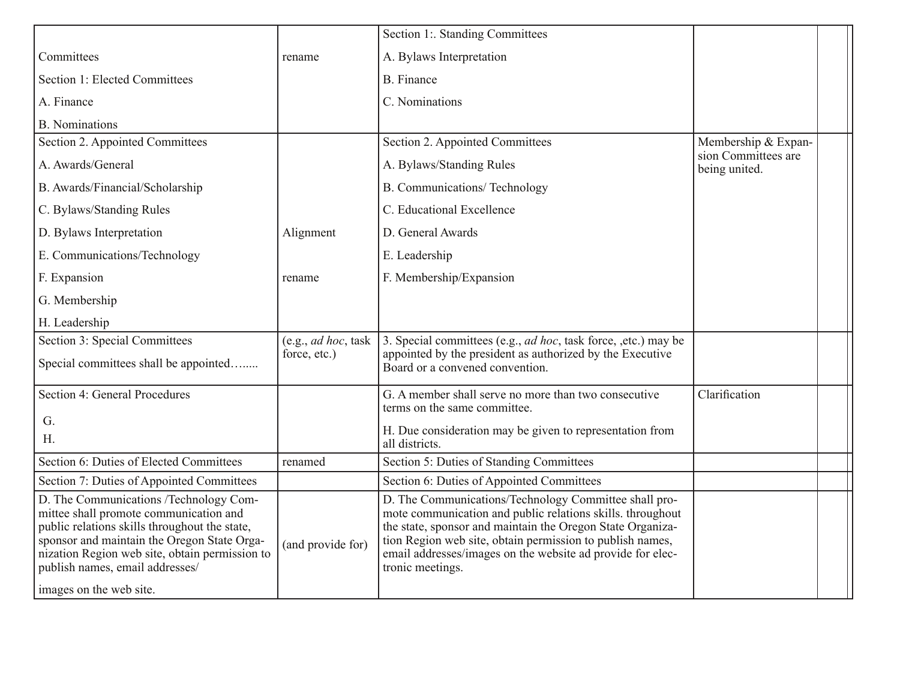|                                                                                         |                             | Section 1: Standing Committees                                                                                           |                                      |  |
|-----------------------------------------------------------------------------------------|-----------------------------|--------------------------------------------------------------------------------------------------------------------------|--------------------------------------|--|
| Committees                                                                              | rename                      | A. Bylaws Interpretation                                                                                                 |                                      |  |
| Section 1: Elected Committees                                                           |                             | <b>B.</b> Finance                                                                                                        |                                      |  |
| A. Finance                                                                              |                             | C. Nominations                                                                                                           |                                      |  |
| <b>B.</b> Nominations                                                                   |                             |                                                                                                                          |                                      |  |
| Section 2. Appointed Committees                                                         |                             | Section 2. Appointed Committees                                                                                          | Membership & Expan-                  |  |
| A. Awards/General                                                                       |                             | A. Bylaws/Standing Rules                                                                                                 | sion Committees are<br>being united. |  |
| B. Awards/Financial/Scholarship                                                         |                             | B. Communications/ Technology                                                                                            |                                      |  |
| C. Bylaws/Standing Rules                                                                |                             | C. Educational Excellence                                                                                                |                                      |  |
| D. Bylaws Interpretation                                                                | Alignment                   | D. General Awards                                                                                                        |                                      |  |
| E. Communications/Technology                                                            |                             | E. Leadership                                                                                                            |                                      |  |
| F. Expansion                                                                            | rename                      | F. Membership/Expansion                                                                                                  |                                      |  |
| G. Membership                                                                           |                             |                                                                                                                          |                                      |  |
| H. Leadership                                                                           |                             |                                                                                                                          |                                      |  |
| Section 3: Special Committees                                                           | (e.g., <i>ad hoc</i> , task | 3. Special committees (e.g., <i>ad hoc</i> , task force, ,etc.) may be                                                   |                                      |  |
| Special committees shall be appointed                                                   | force, etc.)                | appointed by the president as authorized by the Executive<br>Board or a convened convention.                             |                                      |  |
| Section 4: General Procedures                                                           |                             | G. A member shall serve no more than two consecutive<br>terms on the same committee.                                     | Clarification                        |  |
| G.                                                                                      |                             |                                                                                                                          |                                      |  |
| H.                                                                                      |                             | H. Due consideration may be given to representation from<br>all districts.                                               |                                      |  |
| Section 6: Duties of Elected Committees                                                 | renamed                     | Section 5: Duties of Standing Committees                                                                                 |                                      |  |
| Section 7: Duties of Appointed Committees                                               |                             | Section 6: Duties of Appointed Committees                                                                                |                                      |  |
| D. The Communications /Technology Com-                                                  |                             | D. The Communications/Technology Committee shall pro-                                                                    |                                      |  |
| mittee shall promote communication and<br>public relations skills throughout the state, |                             | mote communication and public relations skills. throughout<br>the state, sponsor and maintain the Oregon State Organiza- |                                      |  |
| sponsor and maintain the Oregon State Orga-                                             | (and provide for)           | tion Region web site, obtain permission to publish names,                                                                |                                      |  |
| nization Region web site, obtain permission to<br>publish names, email addresses/       |                             | email addresses/images on the website ad provide for elec-                                                               |                                      |  |
|                                                                                         |                             | tronic meetings.                                                                                                         |                                      |  |
| images on the web site.                                                                 |                             |                                                                                                                          |                                      |  |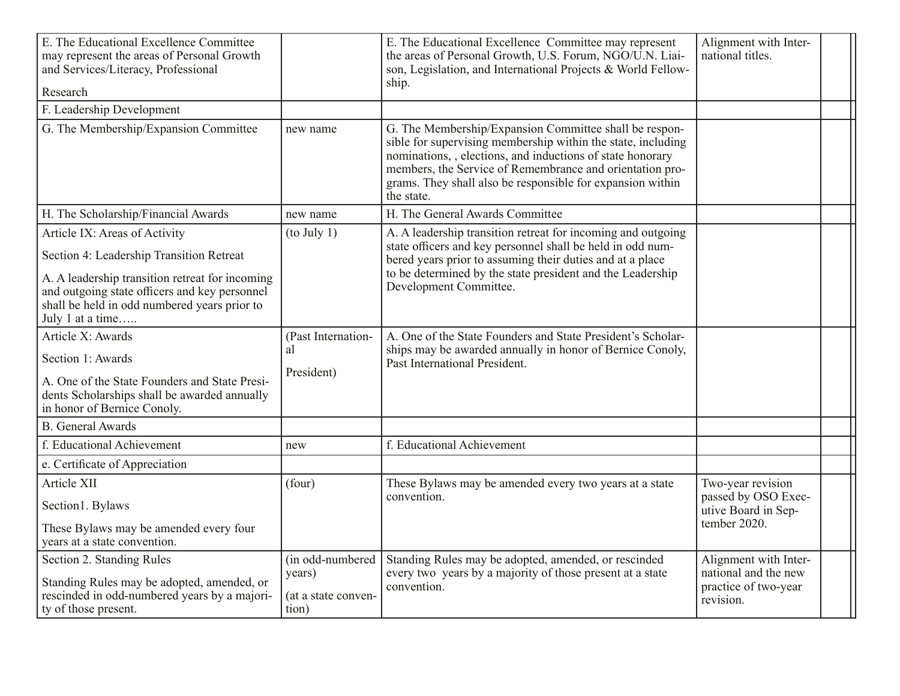| E. The Educational Excellence Committee<br>may represent the areas of Personal Growth<br>and Services/Literacy, Professional<br>Research                                                                                                          |                                                            | E. The Educational Excellence Committee may represent<br>the areas of Personal Growth, U.S. Forum, NGO/U.N. Liai-<br>son, Legislation, and International Projects & World Fellow-<br>ship.                                                                                                                                   | Alignment with Inter-<br>national titles.                                          |  |
|---------------------------------------------------------------------------------------------------------------------------------------------------------------------------------------------------------------------------------------------------|------------------------------------------------------------|------------------------------------------------------------------------------------------------------------------------------------------------------------------------------------------------------------------------------------------------------------------------------------------------------------------------------|------------------------------------------------------------------------------------|--|
| F. Leadership Development                                                                                                                                                                                                                         |                                                            |                                                                                                                                                                                                                                                                                                                              |                                                                                    |  |
| G. The Membership/Expansion Committee                                                                                                                                                                                                             | new name                                                   | G. The Membership/Expansion Committee shall be respon-<br>sible for supervising membership within the state, including<br>nominations, , elections, and inductions of state honorary<br>members, the Service of Remembrance and orientation pro-<br>grams. They shall also be responsible for expansion within<br>the state. |                                                                                    |  |
| H. The Scholarship/Financial Awards                                                                                                                                                                                                               | new name                                                   | H. The General Awards Committee                                                                                                                                                                                                                                                                                              |                                                                                    |  |
| Article IX: Areas of Activity<br>Section 4: Leadership Transition Retreat<br>A. A leadership transition retreat for incoming<br>and outgoing state officers and key personnel<br>shall be held in odd numbered years prior to<br>July 1 at a time | (to July 1)                                                | A. A leadership transition retreat for incoming and outgoing<br>state officers and key personnel shall be held in odd num-<br>bered years prior to assuming their duties and at a place<br>to be determined by the state president and the Leadership<br>Development Committee.                                              |                                                                                    |  |
| Article X: Awards<br>Section 1: Awards<br>A. One of the State Founders and State Presi-<br>dents Scholarships shall be awarded annually<br>in honor of Bernice Conoly.                                                                            | (Past Internation-<br>al<br>President)                     | A. One of the State Founders and State President's Scholar-<br>ships may be awarded annually in honor of Bernice Conoly,<br>Past International President.                                                                                                                                                                    |                                                                                    |  |
| <b>B.</b> General Awards                                                                                                                                                                                                                          |                                                            |                                                                                                                                                                                                                                                                                                                              |                                                                                    |  |
| f. Educational Achievement                                                                                                                                                                                                                        | new                                                        | f. Educational Achievement                                                                                                                                                                                                                                                                                                   |                                                                                    |  |
| e. Certificate of Appreciation                                                                                                                                                                                                                    |                                                            |                                                                                                                                                                                                                                                                                                                              |                                                                                    |  |
| Article XII<br>Section1. Bylaws<br>These Bylaws may be amended every four<br>years at a state convention.                                                                                                                                         | (four)                                                     | These Bylaws may be amended every two years at a state<br>convention.                                                                                                                                                                                                                                                        | Two-year revision<br>passed by OSO Exec-<br>utive Board in Sep-<br>tember 2020.    |  |
| Section 2. Standing Rules<br>Standing Rules may be adopted, amended, or<br>rescinded in odd-numbered years by a majori-<br>ty of those present.                                                                                                   | (in odd-numbered<br>years)<br>(at a state conven-<br>tion) | Standing Rules may be adopted, amended, or rescinded<br>every two years by a majority of those present at a state<br>convention.                                                                                                                                                                                             | Alignment with Inter-<br>national and the new<br>practice of two-year<br>revision. |  |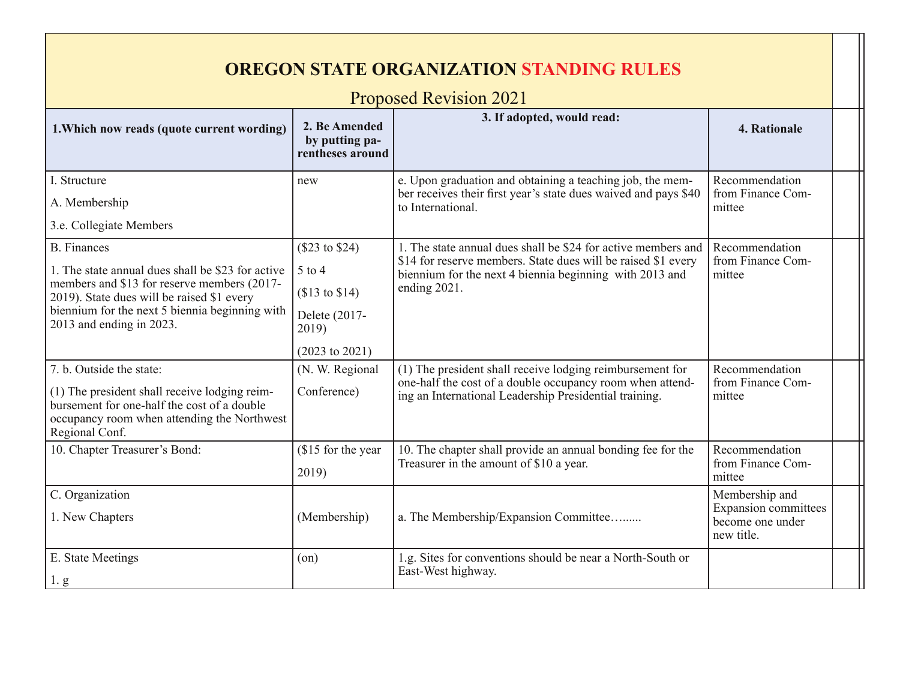| <b>OREGON STATE ORGANIZATION STANDING RULES</b><br><b>Proposed Revision 2021</b>                                                                                                                                                                   |                                                                                                     |                                                                                                                                                                                                           |                                                                                 |
|----------------------------------------------------------------------------------------------------------------------------------------------------------------------------------------------------------------------------------------------------|-----------------------------------------------------------------------------------------------------|-----------------------------------------------------------------------------------------------------------------------------------------------------------------------------------------------------------|---------------------------------------------------------------------------------|
| 1. Which now reads (quote current wording)                                                                                                                                                                                                         | 2. Be Amended<br>by putting pa-<br>rentheses around                                                 | 3. If adopted, would read:                                                                                                                                                                                | 4. Rationale                                                                    |
| I. Structure<br>A. Membership<br>3.e. Collegiate Members                                                                                                                                                                                           | new                                                                                                 | e. Upon graduation and obtaining a teaching job, the mem-<br>ber receives their first year's state dues waived and pays \$40<br>to International.                                                         | Recommendation<br>from Finance Com-<br>mittee                                   |
| <b>B.</b> Finances<br>1. The state annual dues shall be \$23 for active<br>members and \$13 for reserve members (2017-<br>2019). State dues will be raised \$1 every<br>biennium for the next 5 biennia beginning with<br>2013 and ending in 2023. | (\$23 to \$24)<br>$5$ to 4<br>(\$13 to \$14)<br>Delete (2017-<br>2019)<br>$(2023 \text{ to } 2021)$ | 1. The state annual dues shall be \$24 for active members and<br>\$14 for reserve members. State dues will be raised \$1 every<br>biennium for the next 4 biennia beginning with 2013 and<br>ending 2021. | Recommendation<br>from Finance Com-<br>mittee                                   |
| 7. b. Outside the state:<br>(1) The president shall receive lodging reim-<br>bursement for one-half the cost of a double<br>occupancy room when attending the Northwest<br>Regional Conf.                                                          | (N. W. Regional<br>Conference)                                                                      | (1) The president shall receive lodging reimbursement for<br>one-half the cost of a double occupancy room when attend-<br>ing an International Leadership Presidential training.                          | Recommendation<br>from Finance Com-<br>mittee                                   |
| 10. Chapter Treasurer's Bond:                                                                                                                                                                                                                      | (\$15 for the year<br>2019)                                                                         | 10. The chapter shall provide an annual bonding fee for the<br>Treasurer in the amount of \$10 a year.                                                                                                    | Recommendation<br>from Finance Com-<br>mittee                                   |
| C. Organization<br>1. New Chapters                                                                                                                                                                                                                 | (Membership)                                                                                        | a. The Membership/Expansion Committee                                                                                                                                                                     | Membership and<br><b>Expansion committees</b><br>become one under<br>new title. |
| E. State Meetings<br>1. g                                                                                                                                                                                                                          | (on)                                                                                                | 1.g. Sites for conventions should be near a North-South or<br>East-West highway.                                                                                                                          |                                                                                 |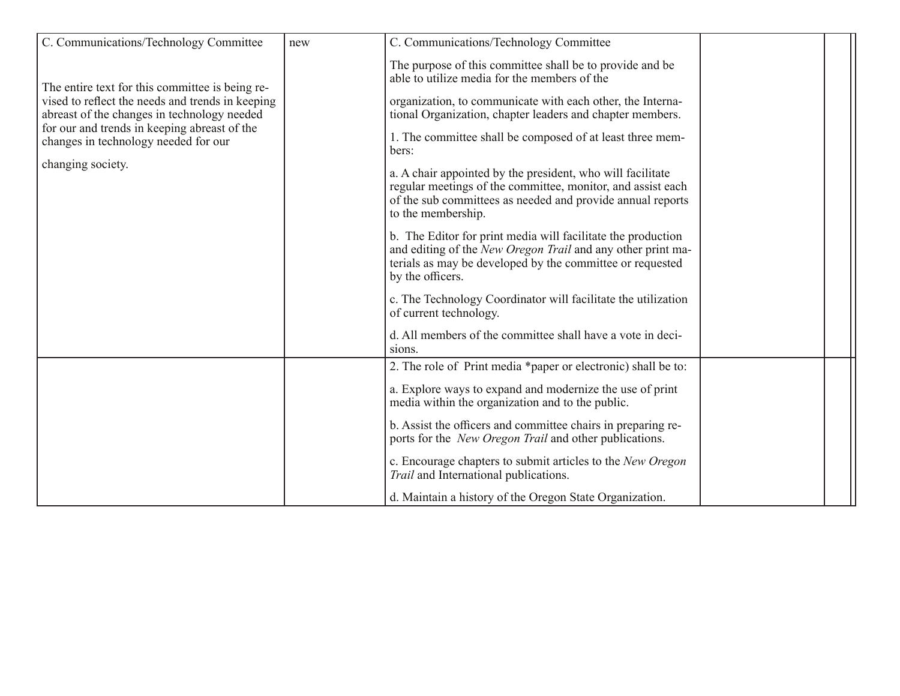| C. Communications/Technology Committee                                                          | new | C. Communications/Technology Committee                                                                                                                                                                        |  |
|-------------------------------------------------------------------------------------------------|-----|---------------------------------------------------------------------------------------------------------------------------------------------------------------------------------------------------------------|--|
| The entire text for this committee is being re-                                                 |     | The purpose of this committee shall be to provide and be<br>able to utilize media for the members of the                                                                                                      |  |
| vised to reflect the needs and trends in keeping<br>abreast of the changes in technology needed |     | organization, to communicate with each other, the Interna-<br>tional Organization, chapter leaders and chapter members.                                                                                       |  |
| for our and trends in keeping abreast of the<br>changes in technology needed for our            |     | 1. The committee shall be composed of at least three mem-<br>bers:                                                                                                                                            |  |
| changing society.                                                                               |     | a. A chair appointed by the president, who will facilitate<br>regular meetings of the committee, monitor, and assist each<br>of the sub committees as needed and provide annual reports<br>to the membership. |  |
|                                                                                                 |     | b. The Editor for print media will facilitate the production<br>and editing of the New Oregon Trail and any other print ma-<br>terials as may be developed by the committee or requested<br>by the officers.  |  |
|                                                                                                 |     | c. The Technology Coordinator will facilitate the utilization<br>of current technology.                                                                                                                       |  |
|                                                                                                 |     | d. All members of the committee shall have a vote in deci-<br>sions.                                                                                                                                          |  |
|                                                                                                 |     | 2. The role of Print media *paper or electronic) shall be to:                                                                                                                                                 |  |
|                                                                                                 |     | a. Explore ways to expand and modernize the use of print<br>media within the organization and to the public.                                                                                                  |  |
|                                                                                                 |     | b. Assist the officers and committee chairs in preparing re-<br>ports for the <i>New Oregon Trail</i> and other publications.                                                                                 |  |
|                                                                                                 |     | c. Encourage chapters to submit articles to the New Oregon<br>Trail and International publications.                                                                                                           |  |
|                                                                                                 |     | d. Maintain a history of the Oregon State Organization.                                                                                                                                                       |  |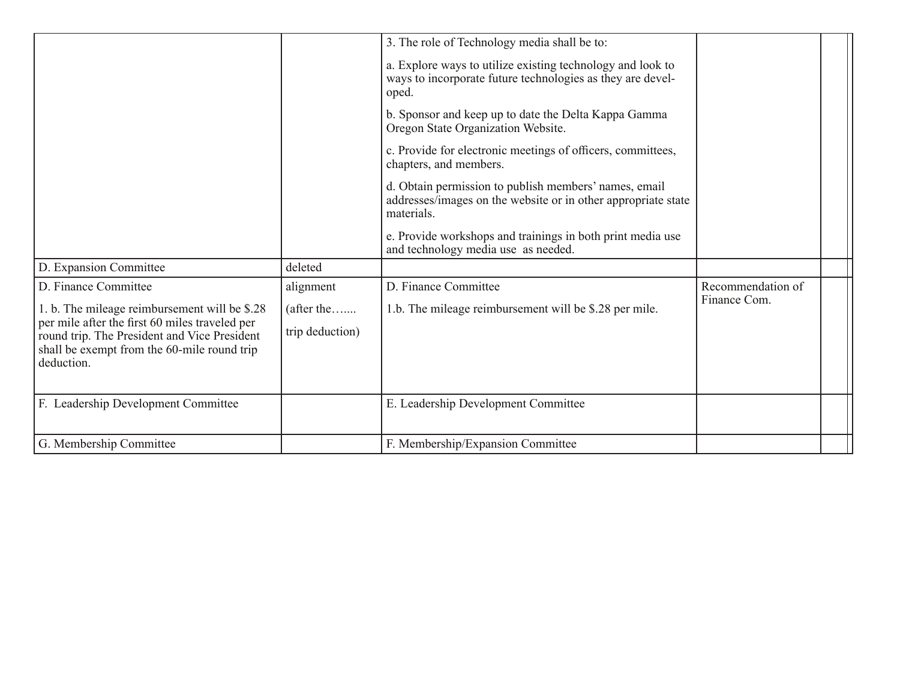|                                                                                                                                                                                                                                      |                                            | 3. The role of Technology media shall be to:<br>a. Explore ways to utilize existing technology and look to<br>ways to incorporate future technologies as they are devel-<br>oped.<br>b. Sponsor and keep up to date the Delta Kappa Gamma<br>Oregon State Organization Website.<br>c. Provide for electronic meetings of officers, committees,<br>chapters, and members.<br>d. Obtain permission to publish members' names, email<br>addresses/images on the website or in other appropriate state<br>materials.<br>e. Provide workshops and trainings in both print media use<br>and technology media use as needed. |                                   |  |
|--------------------------------------------------------------------------------------------------------------------------------------------------------------------------------------------------------------------------------------|--------------------------------------------|-----------------------------------------------------------------------------------------------------------------------------------------------------------------------------------------------------------------------------------------------------------------------------------------------------------------------------------------------------------------------------------------------------------------------------------------------------------------------------------------------------------------------------------------------------------------------------------------------------------------------|-----------------------------------|--|
| D. Expansion Committee                                                                                                                                                                                                               | deleted                                    |                                                                                                                                                                                                                                                                                                                                                                                                                                                                                                                                                                                                                       |                                   |  |
| D. Finance Committee<br>1. b. The mileage reimbursement will be \$.28<br>per mile after the first 60 miles traveled per<br>round trip. The President and Vice President<br>shall be exempt from the 60-mile round trip<br>deduction. | alignment<br>(after the<br>trip deduction) | D. Finance Committee<br>1.b. The mileage reimbursement will be \$.28 per mile.                                                                                                                                                                                                                                                                                                                                                                                                                                                                                                                                        | Recommendation of<br>Finance Com. |  |
| F. Leadership Development Committee                                                                                                                                                                                                  |                                            | E. Leadership Development Committee                                                                                                                                                                                                                                                                                                                                                                                                                                                                                                                                                                                   |                                   |  |
| G. Membership Committee                                                                                                                                                                                                              |                                            | F. Membership/Expansion Committee                                                                                                                                                                                                                                                                                                                                                                                                                                                                                                                                                                                     |                                   |  |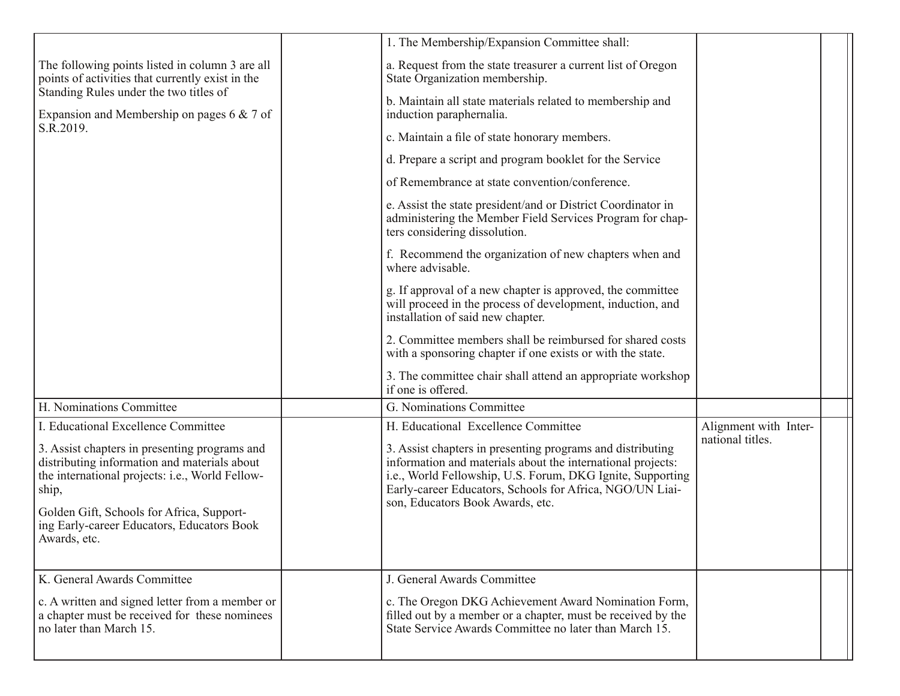|                                                                                                                                                                                                                                                                                                             | 1. The Membership/Expansion Committee shall:                                                                                                                                                                                                                                                                                   |                                           |  |
|-------------------------------------------------------------------------------------------------------------------------------------------------------------------------------------------------------------------------------------------------------------------------------------------------------------|--------------------------------------------------------------------------------------------------------------------------------------------------------------------------------------------------------------------------------------------------------------------------------------------------------------------------------|-------------------------------------------|--|
| The following points listed in column 3 are all<br>points of activities that currently exist in the                                                                                                                                                                                                         | a. Request from the state treasurer a current list of Oregon<br>State Organization membership.                                                                                                                                                                                                                                 |                                           |  |
| Standing Rules under the two titles of<br>Expansion and Membership on pages $6 \& 7$ of                                                                                                                                                                                                                     | b. Maintain all state materials related to membership and<br>induction paraphernalia.                                                                                                                                                                                                                                          |                                           |  |
| S.R.2019.                                                                                                                                                                                                                                                                                                   | c. Maintain a file of state honorary members.                                                                                                                                                                                                                                                                                  |                                           |  |
|                                                                                                                                                                                                                                                                                                             | d. Prepare a script and program booklet for the Service                                                                                                                                                                                                                                                                        |                                           |  |
|                                                                                                                                                                                                                                                                                                             | of Remembrance at state convention/conference.                                                                                                                                                                                                                                                                                 |                                           |  |
|                                                                                                                                                                                                                                                                                                             | e. Assist the state president/and or District Coordinator in<br>administering the Member Field Services Program for chap-<br>ters considering dissolution.                                                                                                                                                                     |                                           |  |
|                                                                                                                                                                                                                                                                                                             | f. Recommend the organization of new chapters when and<br>where advisable.                                                                                                                                                                                                                                                     |                                           |  |
|                                                                                                                                                                                                                                                                                                             | g. If approval of a new chapter is approved, the committee<br>will proceed in the process of development, induction, and<br>installation of said new chapter.                                                                                                                                                                  |                                           |  |
|                                                                                                                                                                                                                                                                                                             | 2. Committee members shall be reimbursed for shared costs<br>with a sponsoring chapter if one exists or with the state.                                                                                                                                                                                                        |                                           |  |
|                                                                                                                                                                                                                                                                                                             | 3. The committee chair shall attend an appropriate workshop<br>if one is offered.                                                                                                                                                                                                                                              |                                           |  |
| H. Nominations Committee                                                                                                                                                                                                                                                                                    | G. Nominations Committee                                                                                                                                                                                                                                                                                                       |                                           |  |
| I. Educational Excellence Committee<br>3. Assist chapters in presenting programs and<br>distributing information and materials about<br>the international projects: i.e., World Fellow-<br>ship,<br>Golden Gift, Schools for Africa, Support-<br>ing Early-career Educators, Educators Book<br>Awards, etc. | H. Educational Excellence Committee<br>3. Assist chapters in presenting programs and distributing<br>information and materials about the international projects:<br>i.e., World Fellowship, U.S. Forum, DKG Ignite, Supporting<br>Early-career Educators, Schools for Africa, NGO/UN Liai-<br>son, Educators Book Awards, etc. | Alignment with Inter-<br>national titles. |  |
| K. General Awards Committee                                                                                                                                                                                                                                                                                 | J. General Awards Committee                                                                                                                                                                                                                                                                                                    |                                           |  |
| c. A written and signed letter from a member or<br>a chapter must be received for these nominees<br>no later than March 15.                                                                                                                                                                                 | c. The Oregon DKG Achievement Award Nomination Form,<br>filled out by a member or a chapter, must be received by the<br>State Service Awards Committee no later than March 15.                                                                                                                                                 |                                           |  |